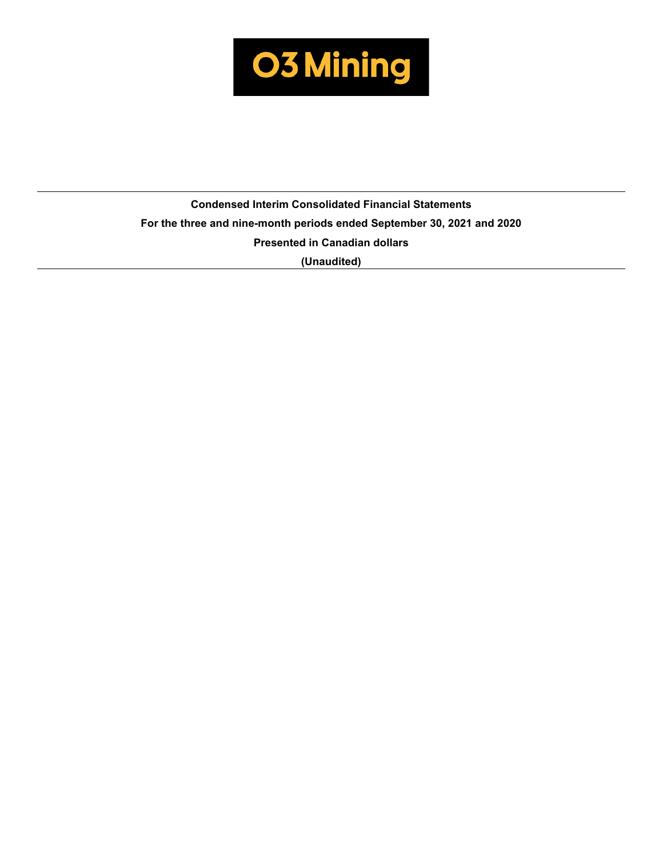

# **Condensed Interim Consolidated Financial Statements For the three and nine-month periods ended September 30, 2021 and 2020 Presented in Canadian dollars (Unaudited)**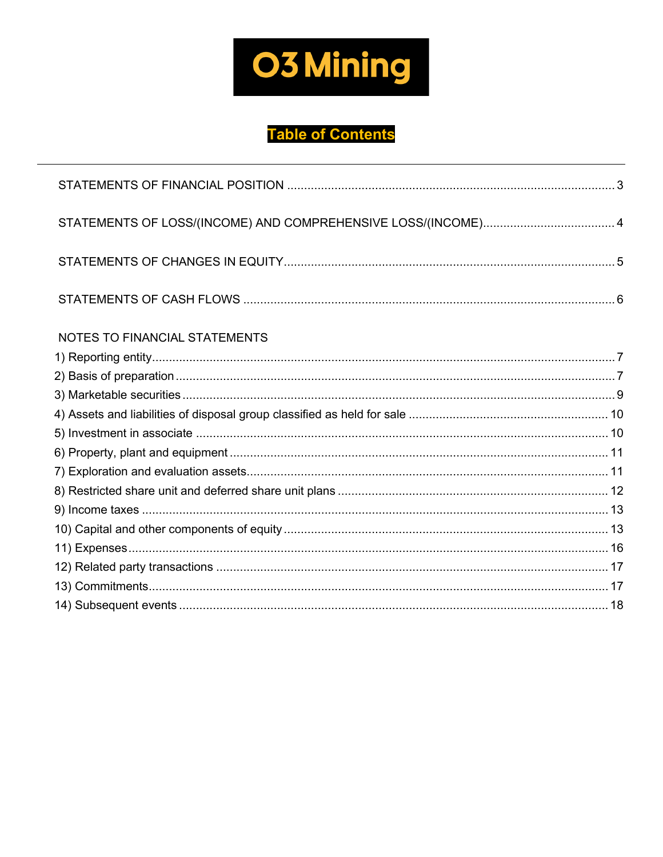

# **Table of Contents**

| STATEMENTS OF LOSS/(INCOME) AND COMPREHENSIVE LOSS/(INCOME) 4 |  |
|---------------------------------------------------------------|--|
|                                                               |  |
|                                                               |  |
| NOTES TO FINANCIAL STATEMENTS                                 |  |
|                                                               |  |
|                                                               |  |
|                                                               |  |
|                                                               |  |
|                                                               |  |
|                                                               |  |
|                                                               |  |
|                                                               |  |
|                                                               |  |
|                                                               |  |
|                                                               |  |
|                                                               |  |
|                                                               |  |
|                                                               |  |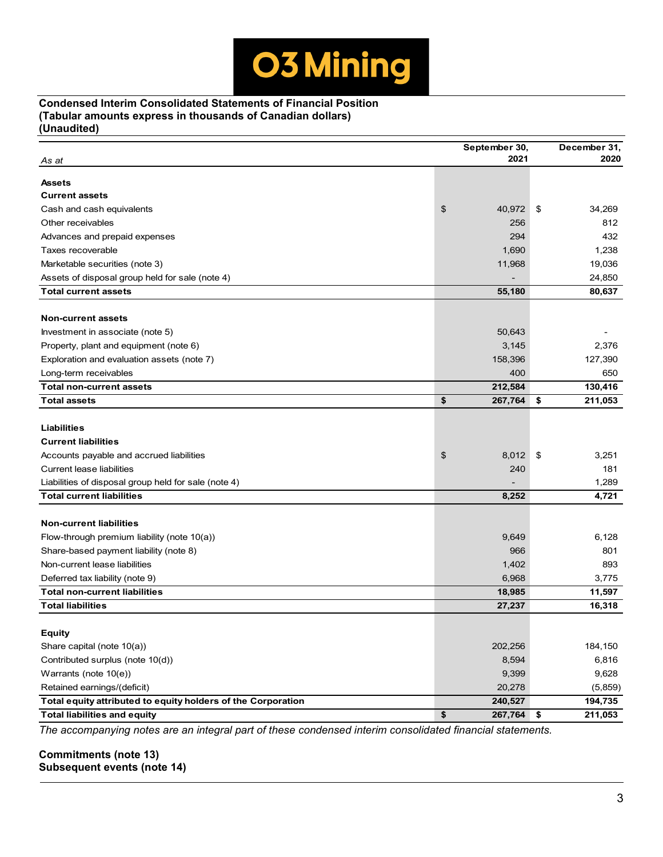# **Condensed Interim Consolidated Statements of Financial Position (Tabular amounts express in thousands of Canadian dollars) (Unaudited)**

|                                                              | September 30,    | December 31,  |
|--------------------------------------------------------------|------------------|---------------|
| As at                                                        | 2021             | 2020          |
| Assets                                                       |                  |               |
| <b>Current assets</b>                                        |                  |               |
| Cash and cash equivalents                                    | \$<br>40,972     | \$<br>34,269  |
| Other receivables                                            | 256              | 812           |
| Advances and prepaid expenses                                | 294              | 432           |
| Taxes recoverable                                            | 1,690            | 1,238         |
| Marketable securities (note 3)                               | 11,968           | 19,036        |
| Assets of disposal group held for sale (note 4)              |                  | 24,850        |
| <b>Total current assets</b>                                  | 55,180           | 80,637        |
|                                                              |                  |               |
| <b>Non-current assets</b>                                    |                  |               |
| Investment in associate (note 5)                             | 50,643           |               |
| Property, plant and equipment (note 6)                       | 3,145            | 2,376         |
| Exploration and evaluation assets (note 7)                   | 158,396          | 127,390       |
| Long-term receivables                                        | 400              | 650           |
| <b>Total non-current assets</b>                              | 212,584          | 130,416       |
| <b>Total assets</b>                                          | \$<br>267,764    | \$<br>211,053 |
|                                                              |                  |               |
| <b>Liabilities</b>                                           |                  |               |
| <b>Current liabilities</b>                                   |                  |               |
| Accounts payable and accrued liabilities                     | \$<br>8,012      | \$<br>3,251   |
| <b>Current lease liabilities</b>                             | 240              | 181           |
| Liabilities of disposal group held for sale (note 4)         |                  | 1,289         |
| <b>Total current liabilities</b>                             | 8,252            | 4,721         |
|                                                              |                  |               |
| <b>Non-current liabilities</b>                               |                  |               |
| Flow-through premium liability (note 10(a))                  | 9,649            | 6,128         |
| Share-based payment liability (note 8)                       | 966              | 801           |
| Non-current lease liabilities                                | 1,402            | 893           |
| Deferred tax liability (note 9)                              | 6,968            | 3,775         |
| <b>Total non-current liabilities</b>                         | 18,985           | 11,597        |
| <b>Total liabilities</b>                                     | 27,237           | 16,318        |
|                                                              |                  |               |
| <b>Equity</b>                                                |                  |               |
| Share capital (note 10(a))                                   | 202,256          | 184,150       |
| Contributed surplus (note 10(d))                             | 8,594            | 6,816         |
| Warrants (note 10(e))                                        | 9,399            | 9,628         |
| Retained earnings/(deficit)                                  | 20,278           | (5,859)       |
| Total equity attributed to equity holders of the Corporation | 240,527          | 194,735       |
| <b>Total liabilities and equity</b>                          | \$<br>267,764 \$ | 211,053       |

*The accompanying notes are an integral part of these condensed interim consolidated financial statements.*

# **Commitments (note 13) Subsequent events (note 14)**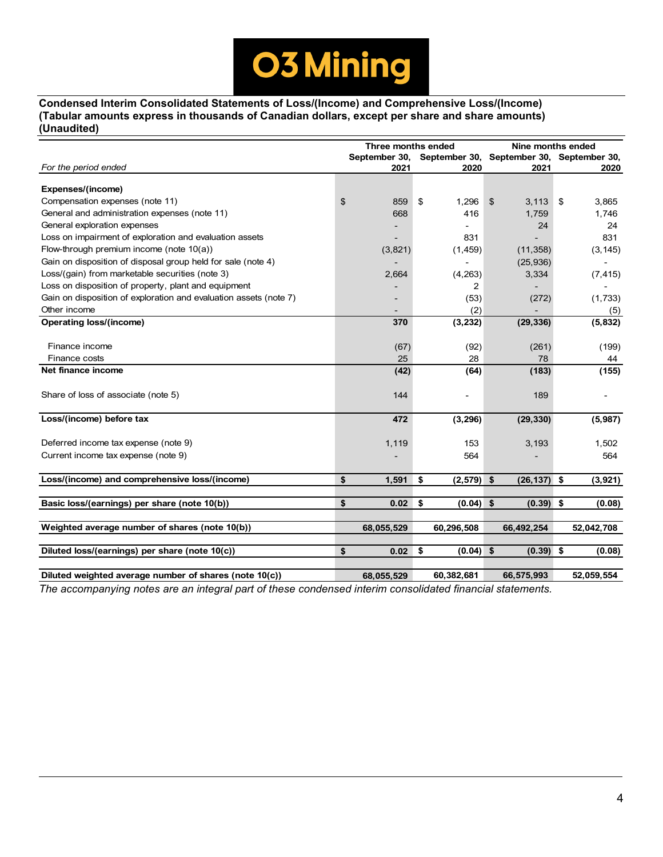

**Condensed Interim Consolidated Statements of Loss/(Income) and Comprehensive Loss/(Income) (Tabular amounts express in thousands of Canadian dollars, except per share and share amounts) (Unaudited)**

|                                                                   | Three months ended |                                           |                | Nine months ended |    |            |  |  |
|-------------------------------------------------------------------|--------------------|-------------------------------------------|----------------|-------------------|----|------------|--|--|
|                                                                   | September 30,      | September 30, September 30, September 30, |                |                   |    |            |  |  |
| For the period ended                                              | 2021               | 2020                                      |                | 2021              |    | 2020       |  |  |
| Expenses/(income)                                                 |                    |                                           |                |                   |    |            |  |  |
| Compensation expenses (note 11)                                   | \$<br>859          | \$<br>1,296                               | $\mathfrak{S}$ | 3,113             | \$ | 3,865      |  |  |
| General and administration expenses (note 11)                     | 668                | 416                                       |                | 1,759             |    | 1,746      |  |  |
| General exploration expenses                                      |                    |                                           |                | 24                |    | 24         |  |  |
| Loss on impairment of exploration and evaluation assets           |                    | 831                                       |                |                   |    | 831        |  |  |
| Flow-through premium income (note 10(a))                          | (3,821)            | (1, 459)                                  |                | (11, 358)         |    | (3, 145)   |  |  |
| Gain on disposition of disposal group held for sale (note 4)      |                    | $\overline{\phantom{0}}$                  |                | (25, 936)         |    |            |  |  |
| Loss/(gain) from marketable securities (note 3)                   | 2,664              | (4, 263)                                  |                | 3,334             |    | (7, 415)   |  |  |
| Loss on disposition of property, plant and equipment              |                    | 2                                         |                |                   |    |            |  |  |
| Gain on disposition of exploration and evaluation assets (note 7) |                    | (53)                                      |                | (272)             |    | (1,733)    |  |  |
| Other income                                                      |                    | (2)                                       |                |                   |    | (5)        |  |  |
| <b>Operating loss/(income)</b>                                    | 370                | (3, 232)                                  |                | (29, 336)         |    | (5, 832)   |  |  |
|                                                                   |                    |                                           |                |                   |    |            |  |  |
| Finance income                                                    | (67)               | (92)                                      |                | (261)             |    | (199)      |  |  |
| Finance costs                                                     | 25                 | 28                                        |                | 78                |    | 44         |  |  |
| Net finance income                                                | (42)               | (64)                                      |                | (183)             |    | (155)      |  |  |
|                                                                   |                    |                                           |                |                   |    |            |  |  |
| Share of loss of associate (note 5)                               | 144                |                                           |                | 189               |    | -          |  |  |
|                                                                   |                    |                                           |                |                   |    |            |  |  |
| Loss/(income) before tax                                          | 472                | (3, 296)                                  |                | (29, 330)         |    | (5,987)    |  |  |
|                                                                   |                    |                                           |                |                   |    |            |  |  |
| Deferred income tax expense (note 9)                              | 1,119              | 153                                       |                | 3,193             |    | 1,502      |  |  |
| Current income tax expense (note 9)                               |                    | 564                                       |                |                   |    | 564        |  |  |
| Loss/(income) and comprehensive loss/(income)                     | \$<br>1,591        | \$<br>$(2,579)$ \$                        |                | $(26, 137)$ \$    |    | (3,921)    |  |  |
|                                                                   |                    |                                           |                |                   |    |            |  |  |
| Basic loss/(earnings) per share (note 10(b))                      | \$<br>0.02         | \$<br>$(0.04)$ \$                         |                | $(0.39)$ \$       |    | (0.08)     |  |  |
|                                                                   |                    |                                           |                |                   |    |            |  |  |
| Weighted average number of shares (note 10(b))                    | 68,055,529         | 60,296,508                                |                | 66,492,254        |    | 52,042,708 |  |  |
|                                                                   |                    |                                           |                |                   |    |            |  |  |
| Diluted loss/(earnings) per share (note 10(c))                    | \$<br>0.02         | \$<br>$(0.04)$ \$                         |                | $(0.39)$ \$       |    | (0.08)     |  |  |
|                                                                   |                    |                                           |                |                   |    |            |  |  |
| Diluted weighted average number of shares (note 10(c))            | 68,055,529         | 60,382,681                                |                | 66,575,993        |    | 52,059,554 |  |  |

*The accompanying notes are an integral part of these condensed interim consolidated financial statements.*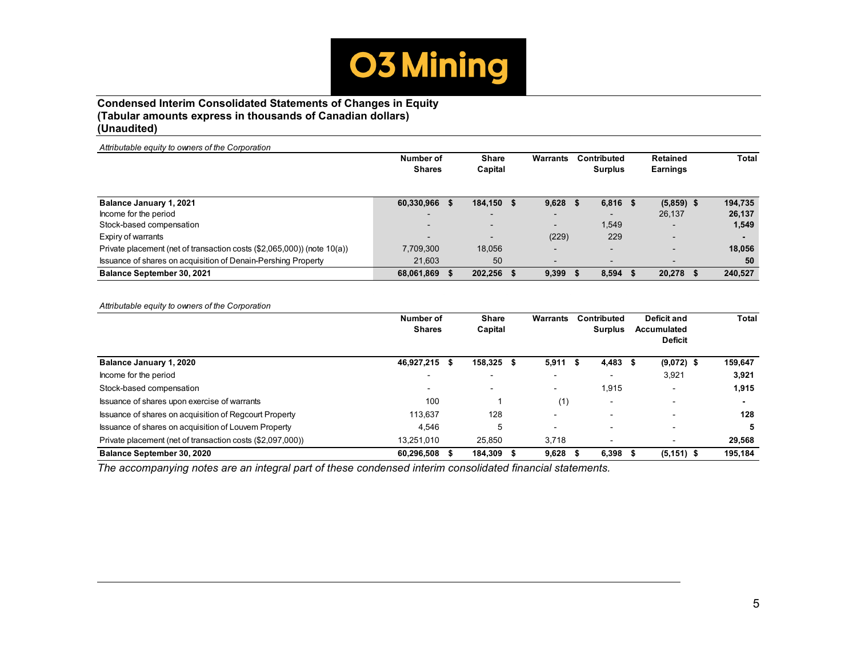

# **Condensed Interim Consolidated Statements of Changes in Equity (Tabular amounts express in thousands of Canadian dollars) (Unaudited)**

| Number of                |  | <b>Share</b>                                    |  | Warrants                         |   |                          |             | Retained                 |     | <b>Total</b> |
|--------------------------|--|-------------------------------------------------|--|----------------------------------|---|--------------------------|-------------|--------------------------|-----|--------------|
|                          |  |                                                 |  |                                  |   |                          |             | Earnings                 |     |              |
|                          |  |                                                 |  | 9,628                            | ъ |                          | - 56        |                          |     | 194,735      |
| $\overline{\phantom{0}}$ |  | -                                               |  | $\overline{\phantom{0}}$         |   |                          |             | 26,137                   |     | 26,137       |
| $\overline{\phantom{0}}$ |  | -                                               |  | $\overline{\phantom{0}}$         |   | 1.549                    |             |                          |     | 1,549        |
| $\overline{\phantom{0}}$ |  | -                                               |  | (229)                            |   | 229                      |             | -                        |     |              |
| 7,709,300                |  | 18.056                                          |  | $\overline{\phantom{0}}$         |   | -                        |             | $\overline{\phantom{0}}$ |     | 18,056       |
| 21.603                   |  | 50                                              |  | $\overline{\phantom{0}}$         |   | $\overline{\phantom{0}}$ |             |                          |     | 50           |
|                          |  |                                                 |  | 9,399                            |   | 8,594                    |             | 20,278                   | -55 | 240,527      |
|                          |  | <b>Shares</b><br>60,330,966 \$<br>68,061,869 \$ |  | Capital<br>184.150 \$<br>202,256 |   |                          | Contributed | <b>Surplus</b><br>6,816  |     | $(5,859)$ \$ |

*Attributable equity to owners of the Corporation*

|                                                            | Number of<br><b>Shares</b> | <b>Share</b><br>Capital  | <b>Warrants</b>          |      | Contributed<br><b>Surplus</b> |     | Deficit and<br>Accumulated<br><b>Deficit</b> | Total   |
|------------------------------------------------------------|----------------------------|--------------------------|--------------------------|------|-------------------------------|-----|----------------------------------------------|---------|
| <b>Balance January 1, 2020</b>                             | 46,927,215 \$              | 158.325 \$               | 5,911                    | - 35 | 4,483                         | - 5 | $(9,072)$ \$                                 | 159,647 |
| Income for the period                                      | $\overline{\phantom{0}}$   | $\overline{\phantom{0}}$ | $\overline{\phantom{0}}$ |      | -                             |     | 3,921                                        | 3,921   |
| Stock-based compensation                                   | $\blacksquare$             | $\sim$                   | $\overline{\phantom{0}}$ |      | 1.915                         |     |                                              | 1,915   |
| Issuance of shares upon exercise of warrants               | 100                        |                          | (1)                      |      | $\overline{\phantom{0}}$      |     |                                              |         |
| Issuance of shares on acquisition of Regcourt Property     | 113,637                    | 128                      | $\overline{\phantom{0}}$ |      | -                             |     |                                              | 128     |
| Issuance of shares on acquisition of Louvem Property       | 4,546                      |                          | $\overline{\phantom{0}}$ |      | ۰                             |     | -                                            | 5       |
| Private placement (net of transaction costs (\$2,097,000)) | 13.251.010                 | 25.850                   | 3.718                    |      |                               |     |                                              | 29,568  |
| Balance September 30, 2020                                 | 60,296,508 \$              | 184.309                  | 9,628                    |      | 6.398                         |     | $(5, 151)$ \$                                | 195,184 |

*The accompanying notes are an integral part of these condensed interim consolidated financial statements.*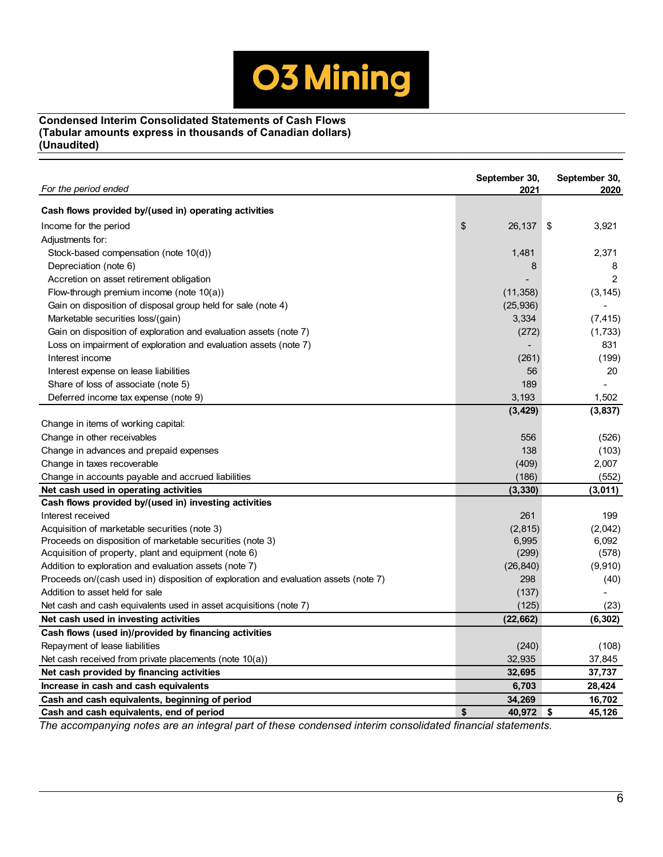

# **Condensed Interim Consolidated Statements of Cash Flows (Tabular amounts express in thousands of Canadian dollars) (Unaudited)**

| For the period ended                                                                 | September 30,<br>2021 | September 30,<br>2020 |
|--------------------------------------------------------------------------------------|-----------------------|-----------------------|
| Cash flows provided by/(used in) operating activities                                |                       |                       |
| Income for the period                                                                | \$<br>26,137          | 3,921<br>\$           |
| Adjustments for:                                                                     |                       |                       |
| Stock-based compensation (note 10(d))                                                | 1,481                 | 2.371                 |
| Depreciation (note 6)                                                                | 8                     | 8                     |
| Accretion on asset retirement obligation                                             |                       | $\overline{2}$        |
| Flow-through premium income (note $10(a)$ )                                          | (11, 358)             | (3, 145)              |
| Gain on disposition of disposal group held for sale (note 4)                         | (25,936)              |                       |
| Marketable securities loss/(gain)                                                    | 3,334                 | (7, 415)              |
| Gain on disposition of exploration and evaluation assets (note 7)                    | (272)                 | (1,733)               |
| Loss on impairment of exploration and evaluation assets (note 7)                     |                       | 831                   |
| Interest income                                                                      | (261)                 | (199)                 |
| Interest expense on lease liabilities                                                | 56                    | 20                    |
| Share of loss of associate (note 5)                                                  | 189                   |                       |
| Deferred income tax expense (note 9)                                                 | 3,193                 | 1,502                 |
|                                                                                      | (3, 429)              | (3, 837)              |
| Change in items of working capital:                                                  |                       |                       |
| Change in other receivables                                                          | 556                   | (526)                 |
| Change in advances and prepaid expenses                                              | 138                   | (103)                 |
| Change in taxes recoverable                                                          | (409)                 | 2,007                 |
| Change in accounts payable and accrued liabilities                                   | (186)                 | (552)                 |
| Net cash used in operating activities                                                | (3, 330)              | (3,011)               |
| Cash flows provided by/(used in) investing activities                                |                       |                       |
| Interest received                                                                    | 261                   | 199                   |
| Acquisition of marketable securities (note 3)                                        | (2, 815)              | (2,042)               |
| Proceeds on disposition of marketable securities (note 3)                            | 6,995                 | 6,092                 |
| Acquisition of property, plant and equipment (note 6)                                | (299)                 | (578)                 |
| Addition to exploration and evaluation assets (note 7)                               | (26, 840)             | (9,910)               |
| Proceeds on/(cash used in) disposition of exploration and evaluation assets (note 7) | 298                   | (40)                  |
| Addition to asset held for sale                                                      | (137)                 |                       |
| Net cash and cash equivalents used in asset acquisitions (note 7)                    | (125)                 | (23)                  |
| Net cash used in investing activities                                                | (22, 662)             | (6, 302)              |
| Cash flows (used in)/provided by financing activities                                |                       |                       |
| Repayment of lease liabilities                                                       | (240)                 | (108)                 |
| Net cash received from private placements (note 10(a))                               | 32,935                | 37,845                |
| Net cash provided by financing activities                                            | 32,695                | 37,737                |
| Increase in cash and cash equivalents                                                | 6,703                 | 28,424                |
| Cash and cash equivalents, beginning of period                                       | 34,269                | 16,702                |
| Cash and cash equivalents, end of period                                             | \$<br>40,972          | \$<br>45,126          |

*The accompanying notes are an integral part of these condensed interim consolidated financial statements.*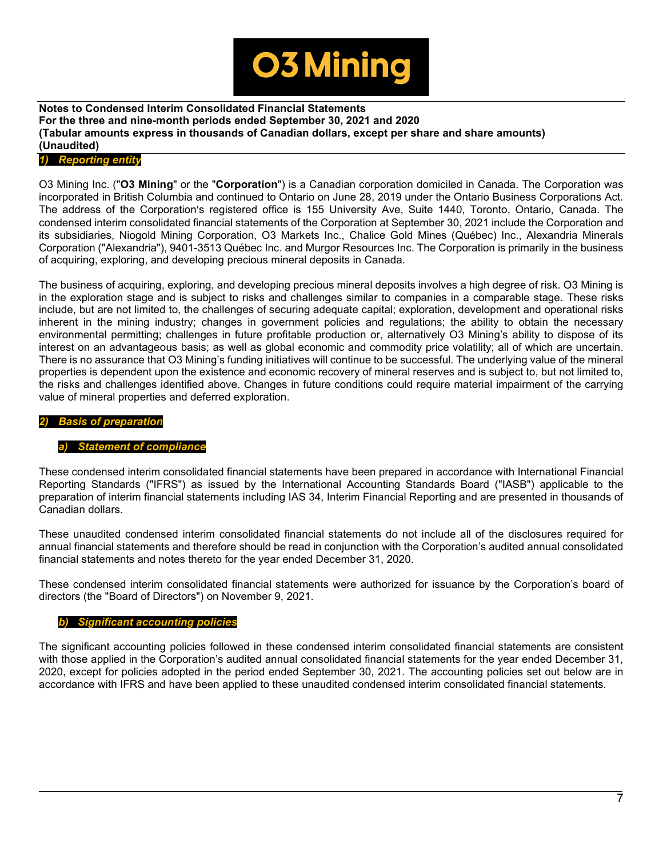

# *1) Reporting entity*

O3 Mining Inc. ("**O3 Mining**" or the "**Corporation**") is a Canadian corporation domiciled in Canada. The Corporation was incorporated in British Columbia and continued to Ontario on June 28, 2019 under the Ontario Business Corporations Act. The address of the Corporation's registered office is 155 University Ave, Suite 1440, Toronto, Ontario, Canada. The condensed interim consolidated financial statements of the Corporation at September 30, 2021 include the Corporation and its subsidiaries, Niogold Mining Corporation, O3 Markets Inc., Chalice Gold Mines (Québec) Inc., Alexandria Minerals Corporation ("Alexandria"), 9401-3513 Québec Inc. and Murgor Resources Inc. The Corporation is primarily in the business of acquiring, exploring, and developing precious mineral deposits in Canada.

The business of acquiring, exploring, and developing precious mineral deposits involves a high degree of risk. O3 Mining is in the exploration stage and is subject to risks and challenges similar to companies in a comparable stage. These risks include, but are not limited to, the challenges of securing adequate capital; exploration, development and operational risks inherent in the mining industry; changes in government policies and regulations; the ability to obtain the necessary environmental permitting; challenges in future profitable production or, alternatively O3 Mining's ability to dispose of its interest on an advantageous basis; as well as global economic and commodity price volatility; all of which are uncertain. There is no assurance that O3 Mining's funding initiatives will continue to be successful. The underlying value of the mineral properties is dependent upon the existence and economic recovery of mineral reserves and is subject to, but not limited to, the risks and challenges identified above. Changes in future conditions could require material impairment of the carrying value of mineral properties and deferred exploration.

# *2) Basis of preparation*

# **Statement of compliance**

These condensed interim consolidated financial statements have been prepared in accordance with International Financial Reporting Standards ("IFRS") as issued by the International Accounting Standards Board ("IASB") applicable to the preparation of interim financial statements including IAS 34, Interim Financial Reporting and are presented in thousands of Canadian dollars.

These unaudited condensed interim consolidated financial statements do not include all of the disclosures required for annual financial statements and therefore should be read in conjunction with the Corporation's audited annual consolidated financial statements and notes thereto for the year ended December 31, 2020.

These condensed interim consolidated financial statements were authorized for issuance by the Corporation's board of directors (the "Board of Directors") on November 9, 2021.

# *b) Significant accounting policies*

The significant accounting policies followed in these condensed interim consolidated financial statements are consistent with those applied in the Corporation's audited annual consolidated financial statements for the year ended December 31, 2020, except for policies adopted in the period ended September 30, 2021. The accounting policies set out below are in accordance with IFRS and have been applied to these unaudited condensed interim consolidated financial statements.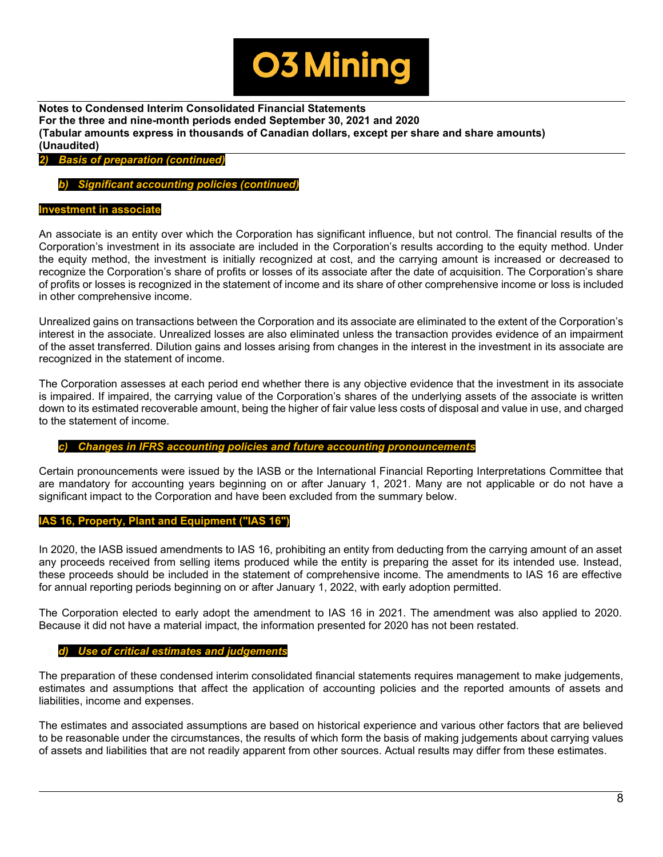

*2) Basis of preparation (continued)*

*b) Significant accounting policies (continued)*

# **Investment in associate**

An associate is an entity over which the Corporation has significant influence, but not control. The financial results of the Corporation's investment in its associate are included in the Corporation's results according to the equity method. Under the equity method, the investment is initially recognized at cost, and the carrying amount is increased or decreased to recognize the Corporation's share of profits or losses of its associate after the date of acquisition. The Corporation's share of profits or losses is recognized in the statement of income and its share of other comprehensive income or loss is included in other comprehensive income.

Unrealized gains on transactions between the Corporation and its associate are eliminated to the extent of the Corporation's interest in the associate. Unrealized losses are also eliminated unless the transaction provides evidence of an impairment of the asset transferred. Dilution gains and losses arising from changes in the interest in the investment in its associate are recognized in the statement of income.

The Corporation assesses at each period end whether there is any objective evidence that the investment in its associate is impaired. If impaired, the carrying value of the Corporation's shares of the underlying assets of the associate is written down to its estimated recoverable amount, being the higher of fair value less costs of disposal and value in use, and charged to the statement of income.

# *c) Changes in IFRS accounting policies and future accounting pronouncements*

Certain pronouncements were issued by the IASB or the International Financial Reporting Interpretations Committee that are mandatory for accounting years beginning on or after January 1, 2021. Many are not applicable or do not have a significant impact to the Corporation and have been excluded from the summary below.

# **IAS 16, Property, Plant and Equipment ("IAS 16")**

In 2020, the IASB issued amendments to IAS 16, prohibiting an entity from deducting from the carrying amount of an asset any proceeds received from selling items produced while the entity is preparing the asset for its intended use. Instead, these proceeds should be included in the statement of comprehensive income. The amendments to IAS 16 are effective for annual reporting periods beginning on or after January 1, 2022, with early adoption permitted.

The Corporation elected to early adopt the amendment to IAS 16 in 2021. The amendment was also applied to 2020. Because it did not have a material impact, the information presented for 2020 has not been restated.

# *d) Use of critical estimates and judgements*

The preparation of these condensed interim consolidated financial statements requires management to make judgements, estimates and assumptions that affect the application of accounting policies and the reported amounts of assets and liabilities, income and expenses.

The estimates and associated assumptions are based on historical experience and various other factors that are believed to be reasonable under the circumstances, the results of which form the basis of making judgements about carrying values of assets and liabilities that are not readily apparent from other sources. Actual results may differ from these estimates.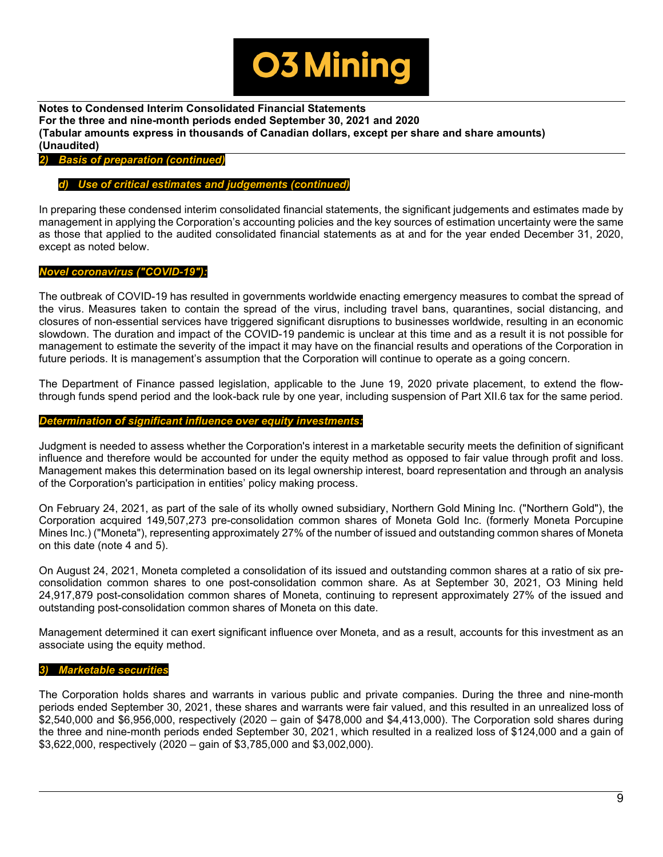

*2) Basis of preparation (continued)*

# *d) Use of critical estimates and judgements (continued)*

In preparing these condensed interim consolidated financial statements, the significant judgements and estimates made by management in applying the Corporation's accounting policies and the key sources of estimation uncertainty were the same as those that applied to the audited consolidated financial statements as at and for the year ended December 31, 2020, except as noted below.

# *Novel coronavirus ("COVID-19"):*

The outbreak of COVID-19 has resulted in governments worldwide enacting emergency measures to combat the spread of the virus. Measures taken to contain the spread of the virus, including travel bans, quarantines, social distancing, and closures of non-essential services have triggered significant disruptions to businesses worldwide, resulting in an economic slowdown. The duration and impact of the COVID-19 pandemic is unclear at this time and as a result it is not possible for management to estimate the severity of the impact it may have on the financial results and operations of the Corporation in future periods. It is management's assumption that the Corporation will continue to operate as a going concern.

The Department of Finance passed legislation, applicable to the June 19, 2020 private placement, to extend the flowthrough funds spend period and the look-back rule by one year, including suspension of Part XII.6 tax for the same period.

#### *Determination of significant influence over equity investments:*

Judgment is needed to assess whether the Corporation's interest in a marketable security meets the definition of significant influence and therefore would be accounted for under the equity method as opposed to fair value through profit and loss. Management makes this determination based on its legal ownership interest, board representation and through an analysis of the Corporation's participation in entities' policy making process.

On February 24, 2021, as part of the sale of its wholly owned subsidiary, Northern Gold Mining Inc. ("Northern Gold"), the Corporation acquired 149,507,273 pre-consolidation common shares of Moneta Gold Inc. (formerly Moneta Porcupine Mines Inc.) ("Moneta"), representing approximately 27% of the number of issued and outstanding common shares of Moneta on this date (note 4 and 5).

On August 24, 2021, Moneta completed a consolidation of its issued and outstanding common shares at a ratio of six preconsolidation common shares to one post-consolidation common share. As at September 30, 2021, O3 Mining held 24,917,879 post-consolidation common shares of Moneta, continuing to represent approximately 27% of the issued and outstanding post-consolidation common shares of Moneta on this date.

Management determined it can exert significant influence over Moneta, and as a result, accounts for this investment as an associate using the equity method.

# *3) Marketable securities*

The Corporation holds shares and warrants in various public and private companies. During the three and nine-month periods ended September 30, 2021, these shares and warrants were fair valued, and this resulted in an unrealized loss of \$2,540,000 and \$6,956,000, respectively (2020 – gain of \$478,000 and \$4,413,000). The Corporation sold shares during the three and nine-month periods ended September 30, 2021, which resulted in a realized loss of \$124,000 and a gain of \$3,622,000, respectively (2020 – gain of \$3,785,000 and \$3,002,000).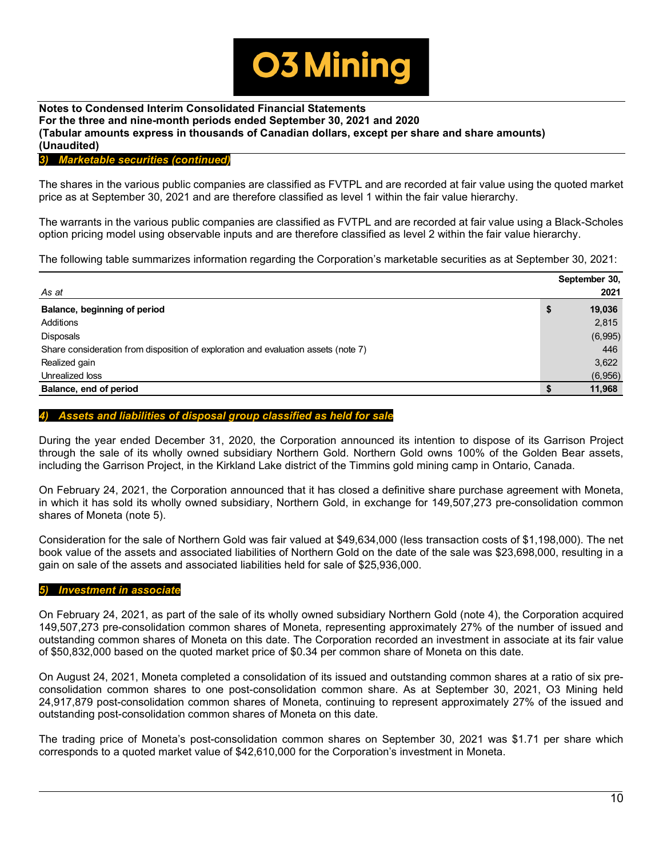

# *3) Marketable securities (continued)*

The shares in the various public companies are classified as FVTPL and are recorded at fair value using the quoted market price as at September 30, 2021 and are therefore classified as level 1 within the fair value hierarchy.

The warrants in the various public companies are classified as FVTPL and are recorded at fair value using a Black-Scholes option pricing model using observable inputs and are therefore classified as level 2 within the fair value hierarchy.

The following table summarizes information regarding the Corporation's marketable securities as at September 30, 2021:

|                                                                                    | September 30, |
|------------------------------------------------------------------------------------|---------------|
| As at                                                                              | 2021          |
| Balance, beginning of period                                                       | \$<br>19,036  |
| Additions                                                                          | 2,815         |
| <b>Disposals</b>                                                                   | (6,995)       |
| Share consideration from disposition of exploration and evaluation assets (note 7) | 446           |
| Realized gain                                                                      | 3,622         |
| Unrealized loss                                                                    | (6,956)       |
| Balance, end of period                                                             | 11,968        |

# *Assets and liabilities of disposal group classified as held for sale*

During the year ended December 31, 2020, the Corporation announced its intention to dispose of its Garrison Project through the sale of its wholly owned subsidiary Northern Gold. Northern Gold owns 100% of the Golden Bear assets, including the Garrison Project, in the Kirkland Lake district of the Timmins gold mining camp in Ontario, Canada.

On February 24, 2021, the Corporation announced that it has closed a definitive share purchase agreement with Moneta, in which it has sold its wholly owned subsidiary, Northern Gold, in exchange for 149,507,273 pre-consolidation common shares of Moneta (note 5).

Consideration for the sale of Northern Gold was fair valued at \$49,634,000 (less transaction costs of \$1,198,000). The net book value of the assets and associated liabilities of Northern Gold on the date of the sale was \$23,698,000, resulting in a gain on sale of the assets and associated liabilities held for sale of \$25,936,000.

# *5) Investment in associate*

On February 24, 2021, as part of the sale of its wholly owned subsidiary Northern Gold (note 4), the Corporation acquired 149,507,273 pre-consolidation common shares of Moneta, representing approximately 27% of the number of issued and outstanding common shares of Moneta on this date. The Corporation recorded an investment in associate at its fair value of \$50,832,000 based on the quoted market price of \$0.34 per common share of Moneta on this date.

On August 24, 2021, Moneta completed a consolidation of its issued and outstanding common shares at a ratio of six preconsolidation common shares to one post-consolidation common share. As at September 30, 2021, O3 Mining held 24,917,879 post-consolidation common shares of Moneta, continuing to represent approximately 27% of the issued and outstanding post-consolidation common shares of Moneta on this date.

The trading price of Moneta's post-consolidation common shares on September 30, 2021 was \$1.71 per share which corresponds to a quoted market value of \$42,610,000 for the Corporation's investment in Moneta.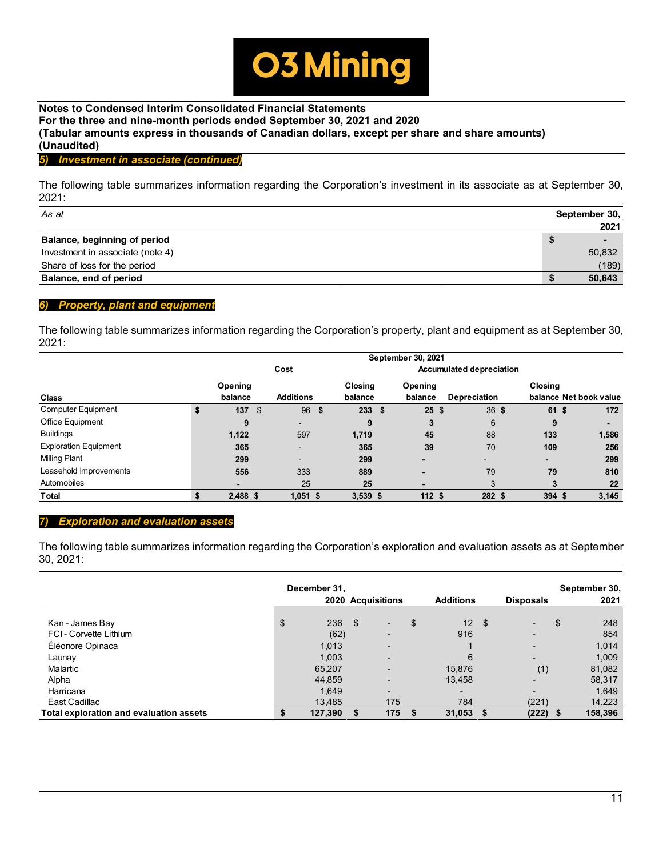

# *5) Investment in associate (continued)*

The following table summarizes information regarding the Corporation's investment in its associate as at September 30, 2021:

| As at                            |   | September 30,  |
|----------------------------------|---|----------------|
|                                  |   | 2021           |
| Balance, beginning of period     | จ | $\blacksquare$ |
| Investment in associate (note 4) |   | 50,832         |
| Share of loss for the period     |   | (189)          |
| Balance, end of period           |   | 50,643         |

# *6) Property, plant and equipment*

The following table summarizes information regarding the Corporation's property, plant and equipment as at September 30, 2021:

|                              |                                         |    |                          |    |                    |  | September 30, 2021 |              |  |                |                        |  |  |
|------------------------------|-----------------------------------------|----|--------------------------|----|--------------------|--|--------------------|--------------|--|----------------|------------------------|--|--|
|                              | Cost<br><b>Accumulated depreciation</b> |    |                          |    |                    |  |                    |              |  |                |                        |  |  |
| Class                        | Opening<br>balance                      |    | <b>Additions</b>         |    | Closina<br>balance |  | Opening<br>balance | Depreciation |  | <b>Closing</b> | balance Net book value |  |  |
| <b>Computer Equipment</b>    | \$<br>137                               | \$ | 96                       | \$ | 233S               |  | $25 \text{ }$ \$   | 36S          |  | 61 \$          | 172                    |  |  |
| Office Equipment             | 9                                       |    | -                        |    | 9                  |  | 3                  | 6            |  | 9              |                        |  |  |
| <b>Buildings</b>             | 1,122                                   |    | 597                      |    | 1,719              |  | 45                 | 88           |  | 133            | 1,586                  |  |  |
| <b>Exploration Equipment</b> | 365                                     |    | $\overline{\phantom{0}}$ |    | 365                |  | 39                 | 70           |  | 109            | 256                    |  |  |
| <b>Milling Plant</b>         | 299                                     |    | $\overline{\phantom{0}}$ |    | 299                |  | -                  |              |  |                | 299                    |  |  |
| Leasehold Improvements       | 556                                     |    | 333                      |    | 889                |  | -                  | 79           |  | 79             | 810                    |  |  |
| Automobiles                  |                                         |    | 25                       |    | 25                 |  | -                  | 3            |  | 3              | 22                     |  |  |
| <b>Total</b>                 | $2,488$ \$                              |    | $1,051$ \$               |    | $3,539$ \$         |  | 112 <sub>5</sub>   | 282 \$       |  | 394 \$         | 3,145                  |  |  |

#### *7) Exploration and evaluation assets*

The following table summarizes information regarding the Corporation's exploration and evaluation assets as at September 30, 2021:

|                                         | December 31, |          | 2020 Acquisitions        | <b>Additions</b>              | <b>Disposals</b>         | September 30,<br>2021 |
|-----------------------------------------|--------------|----------|--------------------------|-------------------------------|--------------------------|-----------------------|
| Kan - James Bay                         | \$<br>236    | <b>S</b> | ۰.                       | \$<br>12 <sup>2</sup><br>- \$ | -                        | \$<br>248             |
| FCI-Corvette Lithium                    | (62)         |          | $\overline{\phantom{0}}$ | 916                           | $\overline{\phantom{0}}$ | 854                   |
| Éléonore Opinaca                        | 1,013        |          | $\overline{\phantom{0}}$ |                               | $\overline{\phantom{0}}$ | 1,014                 |
| Launay                                  | 1,003        |          | $\overline{\phantom{0}}$ | 6                             | -                        | 1,009                 |
| Malartic                                | 65,207       |          | $\overline{\phantom{0}}$ | 15,876                        | (1)                      | 81,082                |
| Alpha                                   | 44,859       |          | $\overline{\phantom{0}}$ | 13,458                        | -                        | 58,317                |
| Harricana                               | 1.649        |          | $\overline{\phantom{0}}$ | $\overline{\phantom{0}}$      |                          | 1.649                 |
| East Cadillac                           | 13,485       |          | 175                      | 784                           | (221)                    | 14,223                |
| Total exploration and evaluation assets | 127,390      |          | 175                      | 31,053                        | (222)                    | 158,396               |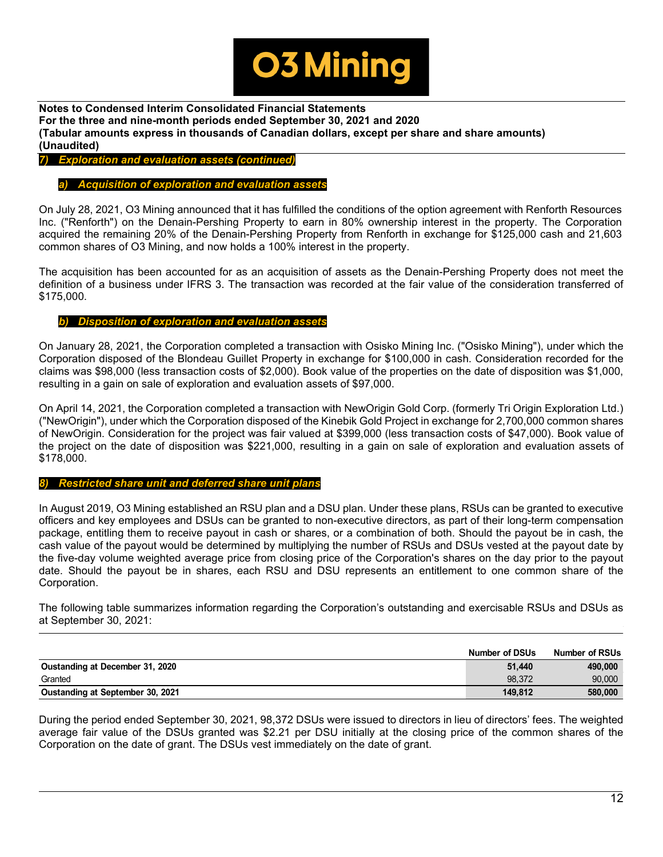

# *7) Exploration and evaluation assets (continued)*

#### *a) Acquisition of exploration and evaluation assets*

On July 28, 2021, O3 Mining announced that it has fulfilled the conditions of the option agreement with Renforth Resources Inc. ("Renforth") on the Denain-Pershing Property to earn in 80% ownership interest in the property. The Corporation acquired the remaining 20% of the Denain-Pershing Property from Renforth in exchange for \$125,000 cash and 21,603 common shares of O3 Mining, and now holds a 100% interest in the property.

The acquisition has been accounted for as an acquisition of assets as the Denain-Pershing Property does not meet the definition of a business under IFRS 3. The transaction was recorded at the fair value of the consideration transferred of \$175,000.

#### *b) Disposition of exploration and evaluation assets*

On January 28, 2021, the Corporation completed a transaction with Osisko Mining Inc. ("Osisko Mining"), under which the Corporation disposed of the Blondeau Guillet Property in exchange for \$100,000 in cash. Consideration recorded for the claims was \$98,000 (less transaction costs of \$2,000). Book value of the properties on the date of disposition was \$1,000, resulting in a gain on sale of exploration and evaluation assets of \$97,000.

On April 14, 2021, the Corporation completed a transaction with NewOrigin Gold Corp. (formerly Tri Origin Exploration Ltd.) ("NewOrigin"), under which the Corporation disposed of the Kinebik Gold Project in exchange for 2,700,000 common shares of NewOrigin. Consideration for the project was fair valued at \$399,000 (less transaction costs of \$47,000). Book value of the project on the date of disposition was \$221,000, resulting in a gain on sale of exploration and evaluation assets of \$178,000.

#### *8) Restricted share unit and deferred share unit plans*

In August 2019, O3 Mining established an RSU plan and a DSU plan. Under these plans, RSUs can be granted to executive officers and key employees and DSUs can be granted to non-executive directors, as part of their long-term compensation package, entitling them to receive payout in cash or shares, or a combination of both. Should the payout be in cash, the cash value of the payout would be determined by multiplying the number of RSUs and DSUs vested at the payout date by the five-day volume weighted average price from closing price of the Corporation's shares on the day prior to the payout date. Should the payout be in shares, each RSU and DSU represents an entitlement to one common share of the Corporation.

The following table summarizes information regarding the Corporation's outstanding and exercisable RSUs and DSUs as at September 30, 2021:

|                                  | <b>Number of DSUs</b> | <b>Number of RSUs</b> |
|----------------------------------|-----------------------|-----------------------|
| Oustanding at December 31, 2020  | 51.440                | 490.000               |
| Granted                          | 98.372                | 90.000                |
| Oustanding at September 30, 2021 | 149.812               | 580.000               |

During the period ended September 30, 2021, 98,372 DSUs were issued to directors in lieu of directors' fees. The weighted average fair value of the DSUs granted was \$2.21 per DSU initially at the closing price of the common shares of the Corporation on the date of grant. The DSUs vest immediately on the date of grant.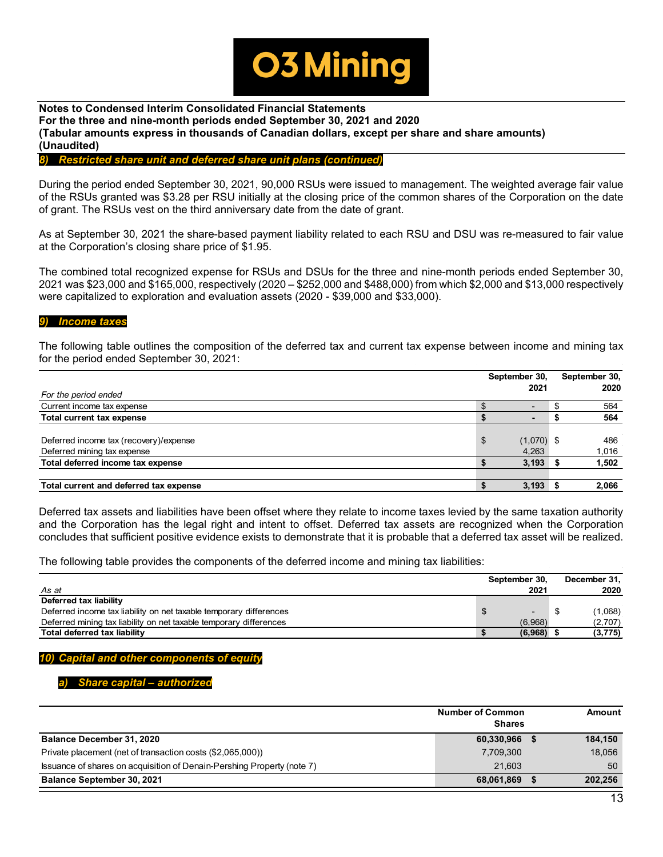

# *8) Restricted share unit and deferred share unit plans (continued)*

During the period ended September 30, 2021, 90,000 RSUs were issued to management. The weighted average fair value of the RSUs granted was \$3.28 per RSU initially at the closing price of the common shares of the Corporation on the date of grant. The RSUs vest on the third anniversary date from the date of grant.

As at September 30, 2021 the share-based payment liability related to each RSU and DSU was re-measured to fair value at the Corporation's closing share price of \$1.95.

The combined total recognized expense for RSUs and DSUs for the three and nine-month periods ended September 30, 2021 was \$23,000 and \$165,000, respectively (2020 – \$252,000 and \$488,000) from which \$2,000 and \$13,000 respectively were capitalized to exploration and evaluation assets (2020 - \$39,000 and \$33,000).

#### *9) Income taxes*

The following table outlines the composition of the deferred tax and current tax expense between income and mining tax for the period ended September 30, 2021:

|                                        | September 30,      | September 30, |
|----------------------------------------|--------------------|---------------|
| For the period ended                   | 2021               | 2020          |
| Current income tax expense             |                    | 564           |
| <b>Total current tax expense</b>       |                    | 564           |
|                                        |                    |               |
| Deferred income tax (recovery)/expense | \$<br>$(1,070)$ \$ | 486           |
| Deferred mining tax expense            | 4,263              | 1,016         |
| Total deferred income tax expense      | 3,193              | 1,502         |
|                                        |                    |               |
| Total current and deferred tax expense | 3,193              | 2,066         |

Deferred tax assets and liabilities have been offset where they relate to income taxes levied by the same taxation authority and the Corporation has the legal right and intent to offset. Deferred tax assets are recognized when the Corporation concludes that sufficient positive evidence exists to demonstrate that it is probable that a deferred tax asset will be realized.

The following table provides the components of the deferred income and mining tax liabilities:

|                                                                    | September 30. | December 31. |          |
|--------------------------------------------------------------------|---------------|--------------|----------|
| As at                                                              | 2021          |              | 2020     |
| Deferred tax liability                                             |               |              |          |
| Deferred income tax liability on net taxable temporary differences |               |              | (1,068)  |
| Deferred mining tax liability on net taxable temporary differences | (6,968)       |              | (2,707)  |
| Total deferred tax liability                                       | (6,968)       |              | (3, 775) |

# *10) Capital and other components of equity*

#### *a) Share capital – authorized*

|                                                                        | <b>Number of Common</b> |  |         |  |  |  |
|------------------------------------------------------------------------|-------------------------|--|---------|--|--|--|
|                                                                        | <b>Shares</b>           |  |         |  |  |  |
| <b>Balance December 31, 2020</b>                                       | 60,330,966              |  | 184,150 |  |  |  |
| Private placement (net of transaction costs (\$2,065,000))             | 7,709,300               |  | 18,056  |  |  |  |
| Issuance of shares on acquisition of Denain-Pershing Property (note 7) | 21.603                  |  | 50      |  |  |  |
| <b>Balance September 30, 2021</b>                                      | 68,061,869              |  | 202,256 |  |  |  |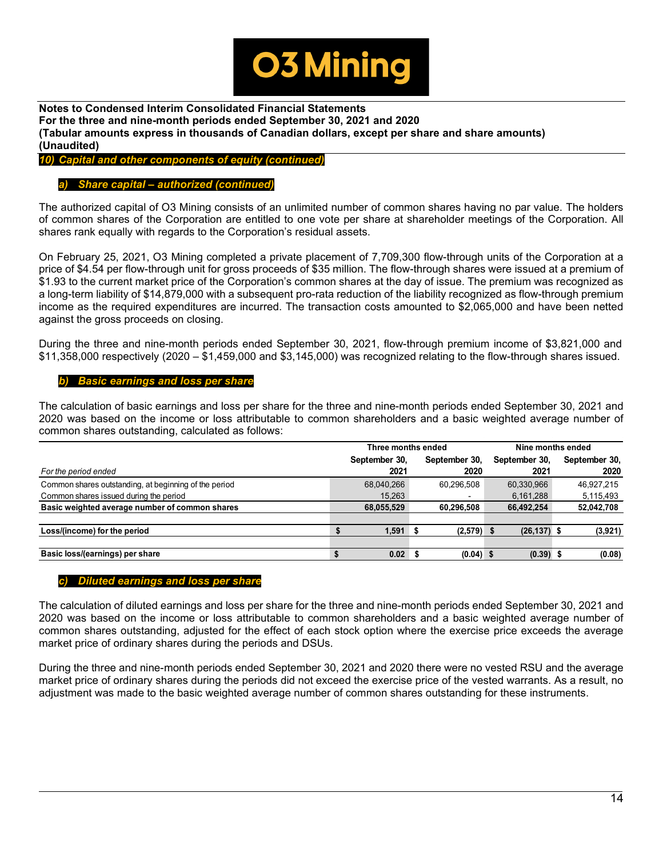

# *10) Capital and other components of equity (continued)*

# *a) Share capital – authorized (continued)*

The authorized capital of O3 Mining consists of an unlimited number of common shares having no par value. The holders of common shares of the Corporation are entitled to one vote per share at shareholder meetings of the Corporation. All shares rank equally with regards to the Corporation's residual assets.

On February 25, 2021, O3 Mining completed a private placement of 7,709,300 flow-through units of the Corporation at a price of \$4.54 per flow-through unit for gross proceeds of \$35 million. The flow-through shares were issued at a premium of \$1.93 to the current market price of the Corporation's common shares at the day of issue. The premium was recognized as a long-term liability of \$14,879,000 with a subsequent pro-rata reduction of the liability recognized as flow-through premium income as the required expenditures are incurred. The transaction costs amounted to \$2,065,000 and have been netted against the gross proceeds on closing.

During the three and nine-month periods ended September 30, 2021, flow-through premium income of \$3,821,000 and  $$11,358,000$  respectively (2020 –  $$1,459,000$  and  $$3,145,000$ ) was recognized relating to the flow-through shares issued.

# *b) Basic earnings and loss per share*

The calculation of basic earnings and loss per share for the three and nine-month periods ended September 30, 2021 and 2020 was based on the income or loss attributable to common shareholders and a basic weighted average number of common shares outstanding, calculated as follows:

|                                                       | Three months ended |               |   |               |  | Nine months ended |  |               |  |  |
|-------------------------------------------------------|--------------------|---------------|---|---------------|--|-------------------|--|---------------|--|--|
|                                                       |                    | September 30, |   | September 30, |  | September 30,     |  | September 30, |  |  |
| For the period ended                                  |                    | 2021          |   | 2020          |  | 2021              |  | 2020          |  |  |
| Common shares outstanding, at beginning of the period |                    | 68,040,266    |   | 60.296.508    |  | 60,330,966        |  | 46,927,215    |  |  |
| Common shares issued during the period                |                    | 15,263        |   |               |  | 6,161,288         |  | 5,115,493     |  |  |
| Basic weighted average number of common shares        |                    | 68,055,529    |   | 60,296,508    |  | 66,492,254        |  | 52,042,708    |  |  |
|                                                       |                    |               |   |               |  |                   |  |               |  |  |
| Loss/(income) for the period                          |                    | 1,591         |   | $(2,579)$ \$  |  | $(26, 137)$ \$    |  | (3,921)       |  |  |
|                                                       |                    |               |   |               |  |                   |  |               |  |  |
| Basic loss/(earnings) per share                       |                    | 0.02          | э | $(0.04)$ \$   |  | $(0.39)$ \$       |  | (0.08)        |  |  |

#### *c) Diluted earnings and loss per share*

The calculation of diluted earnings and loss per share for the three and nine-month periods ended September 30, 2021 and 2020 was based on the income or loss attributable to common shareholders and a basic weighted average number of common shares outstanding, adjusted for the effect of each stock option where the exercise price exceeds the average market price of ordinary shares during the periods and DSUs.

During the three and nine-month periods ended September 30, 2021 and 2020 there were no vested RSU and the average market price of ordinary shares during the periods did not exceed the exercise price of the vested warrants. As a result, no adjustment was made to the basic weighted average number of common shares outstanding for these instruments.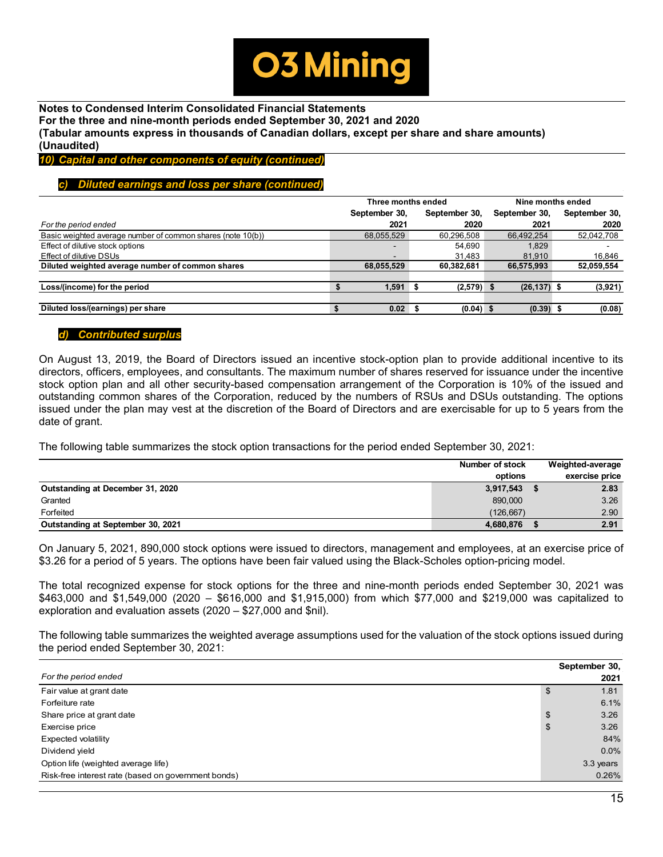

*10) Capital and other components of equity (continued)*

# *c) Diluted earnings and loss per share (continued)*

|                                                             | Three months ended |   | Nine months ended |  |                |  |               |
|-------------------------------------------------------------|--------------------|---|-------------------|--|----------------|--|---------------|
|                                                             | September 30,      |   | September 30,     |  | September 30,  |  | September 30, |
| For the period ended                                        | 2021               |   | 2020              |  | 2021           |  | 2020          |
| Basic weighted average number of common shares (note 10(b)) | 68,055,529         |   | 60,296,508        |  | 66,492,254     |  | 52,042,708    |
| Effect of dilutive stock options                            | -                  |   | 54.690            |  | 1.829          |  |               |
| Effect of dilutive DSUs                                     | -                  |   | 31.483            |  | 81.910         |  | 16.846        |
| Diluted weighted average number of common shares            | 68,055,529         |   | 60,382,681        |  | 66,575,993     |  | 52,059,554    |
|                                                             |                    |   |                   |  |                |  |               |
| Loss/(income) for the period                                | 1.591              | ж | $(2,579)$ \$      |  | $(26, 137)$ \$ |  | (3,921)       |
|                                                             |                    |   |                   |  |                |  |               |
| Diluted loss/(earnings) per share                           | 0.02               |   | $(0.04)$ \$       |  | $(0.39)$ \$    |  | (0.08)        |

# *d) Contributed surplus*

On August 13, 2019, the Board of Directors issued an incentive stock-option plan to provide additional incentive to its directors, officers, employees, and consultants. The maximum number of shares reserved for issuance under the incentive stock option plan and all other security-based compensation arrangement of the Corporation is 10% of the issued and outstanding common shares of the Corporation, reduced by the numbers of RSUs and DSUs outstanding. The options issued under the plan may vest at the discretion of the Board of Directors and are exercisable for up to 5 years from the date of grant.

The following table summarizes the stock option transactions for the period ended September 30, 2021:

|                                   | Number of stock<br>options | Weighted-average<br>exercise price |
|-----------------------------------|----------------------------|------------------------------------|
| Outstanding at December 31, 2020  | 3,917,543                  | 2.83                               |
| Granted                           | 890,000                    | 3.26                               |
| Forfeited                         | (126.667)                  | 2.90                               |
| Outstanding at September 30, 2021 | 4.680.876                  | 2.91                               |

On January 5, 2021, 890,000 stock options were issued to directors, management and employees, at an exercise price of \$3.26 for a period of 5 years. The options have been fair valued using the Black-Scholes option-pricing model.

The total recognized expense for stock options for the three and nine-month periods ended September 30, 2021 was \$463,000 and \$1,549,000 (2020 – \$616,000 and \$1,915,000) from which \$77,000 and \$219,000 was capitalized to exploration and evaluation assets (2020 – \$27,000 and \$nil).

The following table summarizes the weighted average assumptions used for the valuation of the stock options issued during the period ended September 30, 2021:

|                                                     | September 30, |
|-----------------------------------------------------|---------------|
| For the period ended                                | 2021          |
| Fair value at grant date                            | \$<br>1.81    |
| Forfeiture rate                                     | 6.1%          |
| Share price at grant date                           | \$<br>3.26    |
| Exercise price                                      | \$<br>3.26    |
| Expected volatility                                 | 84%           |
| Dividend yield                                      | $0.0\%$       |
| Option life (weighted average life)                 | 3.3 years     |
| Risk-free interest rate (based on government bonds) | 0.26%         |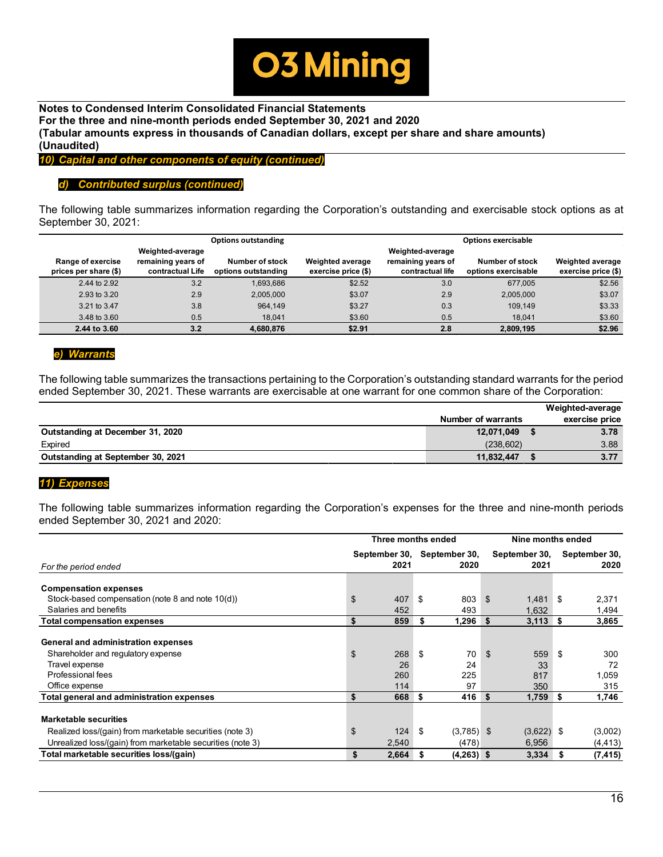

*10) Capital and other components of equity (continued)*

# *d) Contributed surplus (continued)*

The following table summarizes information regarding the Corporation's outstanding and exercisable stock options as at September 30, 2021:

|                       |                                        | <b>Options outstanding</b> | <b>Options exercisable</b> |                                        |                     |                         |  |  |
|-----------------------|----------------------------------------|----------------------------|----------------------------|----------------------------------------|---------------------|-------------------------|--|--|
| Range of exercise     | Weighted-average<br>remaining years of | Number of stock            | <b>Weighted average</b>    | Weighted-average<br>remaining years of | Number of stock     | <b>Weighted average</b> |  |  |
| prices per share (\$) | contractual Life                       | options outstanding        | exercise price (\$)        | contractual life                       | options exercisable | exercise price (\$)     |  |  |
| 2.44 to 2.92          | 3.2                                    | 1.693.686                  | \$2.52                     | 3.0                                    | 677.005             | \$2.56                  |  |  |
| 2.93 to 3.20          | 2.9                                    | 2.005.000                  | \$3.07                     | 2.9                                    | 2.005.000           | \$3.07                  |  |  |
| 3.21 to 3.47          | 3.8                                    | 964.149                    | \$3.27                     | 0.3                                    | 109.149             | \$3.33                  |  |  |
| 3.48 to 3.60          | 0.5                                    | 18.041                     | \$3.60                     | 0.5                                    | 18.041              | \$3.60                  |  |  |
| 2.44 to 3.60          | 3.2                                    | 4.680.876                  | \$2.91                     | 2.8                                    | 2.809.195           | \$2.96                  |  |  |

# *e) Warrants*

The following table summarizes the transactions pertaining to the Corporation's outstanding standard warrants for the period ended September 30, 2021. These warrants are exercisable at one warrant for one common share of the Corporation:

|                                   |                           | Weighted-average |
|-----------------------------------|---------------------------|------------------|
|                                   | <b>Number of warrants</b> | exercise price   |
| Outstanding at December 31, 2020  | 12,071,049                | 3.78             |
| Expired                           | (238.602)                 | 3.88             |
| Outstanding at September 30, 2021 | 11,832,447                | 3.77             |

#### *11) Expenses*

The following table summarizes information regarding the Corporation's expenses for the three and nine-month periods ended September 30, 2021 and 2020:

|                                                            | Three months ended          |    | Nine months ended |                  |      |               |
|------------------------------------------------------------|-----------------------------|----|-------------------|------------------|------|---------------|
|                                                            | September 30, September 30, |    |                   | September 30,    |      | September 30, |
| For the period ended                                       | 2021                        |    | 2020              | 2021             |      | 2020          |
| <b>Compensation expenses</b>                               |                             |    |                   |                  |      |               |
| Stock-based compensation (note 8 and note 10(d))           | \$<br>407                   | \$ | 803               | \$<br>1,481      | - \$ | 2,371         |
| Salaries and benefits                                      | 452                         |    | 493               | 1.632            |      | 1,494         |
| <b>Total compensation expenses</b>                         | \$<br>859                   | S  | 1,296             | \$<br>$3,113$ \$ |      | 3,865         |
| General and administration expenses                        |                             |    |                   |                  |      |               |
| Shareholder and regulatory expense                         | \$<br>268                   | \$ | 70                | \$<br>559        | -\$  | 300           |
| Travel expense                                             | 26                          |    | 24                | 33               |      | 72            |
| Professional fees                                          | 260                         |    | 225               | 817              |      | 1,059         |
| Office expense                                             | 114                         |    | 97                | 350              |      | 315           |
| Total general and administration expenses                  | \$<br>668                   | S  | 416               | \$<br>1,759      | Ŝ.   | 1,746         |
| <b>Marketable securities</b>                               |                             |    |                   |                  |      |               |
| Realized loss/(gain) from marketable securities (note 3)   | \$<br>124                   | \$ | $(3,785)$ \$      | $(3,622)$ \$     |      | (3,002)       |
| Unrealized loss/(gain) from marketable securities (note 3) | 2,540                       |    | (478)             | 6,956            |      | (4, 413)      |
| Total marketable securities loss/(gain)                    | \$<br>2,664                 | S  | $(4,263)$ \$      | 3,334            | S    | (7, 415)      |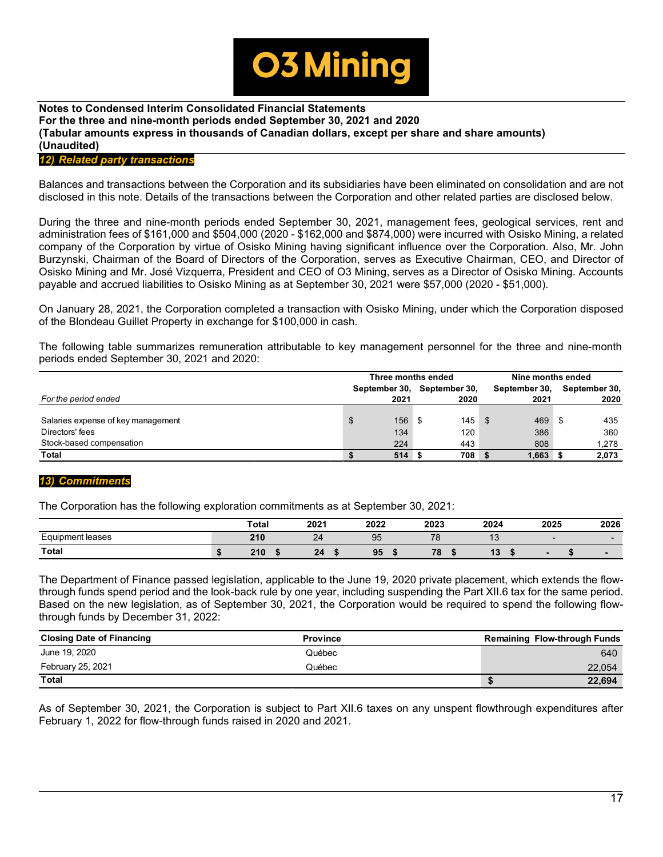

# *12) Related party transactions*

Balances and transactions between the Corporation and its subsidiaries have been eliminated on consolidation and are not disclosed in this note. Details of the transactions between the Corporation and other related parties are disclosed below.

During the three and nine-month periods ended September 30, 2021, management fees, geological services, rent and administration fees of \$161,000 and \$504,000 (2020 - \$162,000 and \$874,000) were incurred with Osisko Mining, a related company of the Corporation by virtue of Osisko Mining having significant influence over the Corporation. Also, Mr. John Burzynski, Chairman of the Board of Directors of the Corporation, serves as Executive Chairman, CEO, and Director of Osisko Mining and Mr. José Vizquerra, President and CEO of O3 Mining, serves as a Director of Osisko Mining. Accounts payable and accrued liabilities to Osisko Mining as at September 30, 2021 were \$57,000 (2020 - \$51,000).

On January 28, 2021, the Corporation completed a transaction with Osisko Mining, under which the Corporation disposed of the Blondeau Guillet Property in exchange for \$100,000 in cash.

The following table summarizes remuneration attributable to key management personnel for the three and nine-month periods ended September 30, 2021 and 2020:

|                                    | Three months ended |               |  |               |      | Nine months ended |  |               |
|------------------------------------|--------------------|---------------|--|---------------|------|-------------------|--|---------------|
|                                    |                    | September 30, |  | September 30, |      | September 30.     |  | September 30, |
| For the period ended               |                    | 2021          |  | 2020          |      | 2021              |  | 2020          |
|                                    |                    |               |  |               |      |                   |  |               |
| Salaries expense of key management | \$                 | $156$ \$      |  | 145           | - \$ | 469               |  | 435           |
| Directors' fees                    |                    | 134           |  | 120           |      | 386               |  | 360           |
| Stock-based compensation           |                    | 224           |  | 443           |      | 808               |  | 1,278         |
| <b>Total</b>                       |                    | 514S          |  | 708           |      | $1,663$ \$        |  | 2,073         |

# *13) Commitments*

The Corporation has the following exploration commitments as at September 30, 2021:

|                       | <b>Total</b> | 2021              | 2022 | 2023 | 2024                    | 2025 | 2026                     |
|-----------------------|--------------|-------------------|------|------|-------------------------|------|--------------------------|
| -<br>Equipment leases | 210          | $\sim$<br>$^{24}$ | 95   | 70   | $\overline{\mathbf{v}}$ |      |                          |
| Total                 | 210          | 24                | 95   | 78   | 40<br>19                |      | $\overline{\phantom{a}}$ |

The Department of Finance passed legislation, applicable to the June 19, 2020 private placement, which extends the flowthrough funds spend period and the look-back rule by one year, including suspending the Part XII.6 tax for the same period. Based on the new legislation, as of September 30, 2021, the Corporation would be required to spend the following flowthrough funds by December 31, 2022:

| <b>Closing Date of Financing</b> | <b>Province</b> | <b>Remaining Flow-through Funds</b> |
|----------------------------------|-----------------|-------------------------------------|
| June 19, 2020                    | Québec          | 640                                 |
| February 25, 2021                | Québec          | 22,054                              |
| <b>Total</b>                     |                 | 22,694                              |

As of September 30, 2021, the Corporation is subject to Part XII.6 taxes on any unspent flowthrough expenditures after February 1, 2022 for flow-through funds raised in 2020 and 2021.